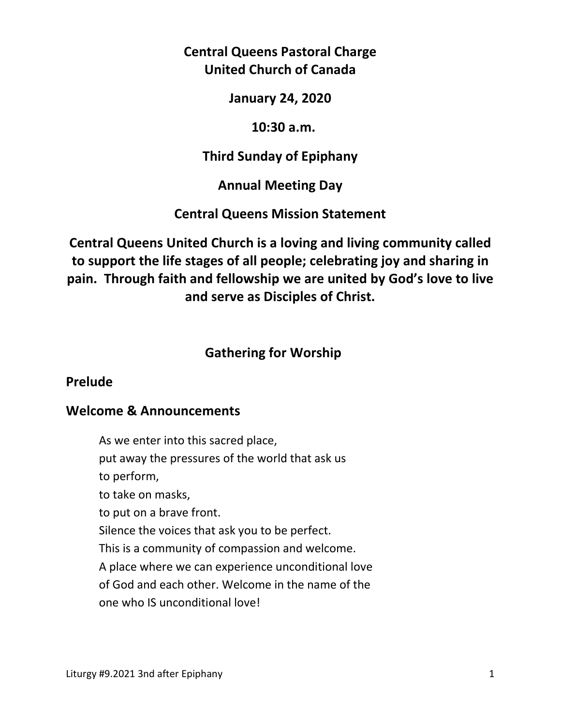# **Central Queens Pastoral Charge United Church of Canada**

**January 24, 2020** 

### **10:30 a.m.**

# **Third Sunday of Epiphany**

# **Annual Meeting Day**

# **Central Queens Mission Statement**

**Central Queens United Church is a loving and living community called to support the life stages of all people; celebrating joy and sharing in pain. Through faith and fellowship we are united by God's love to live and serve as Disciples of Christ.**

# **Gathering for Worship**

### **Prelude**

### **Welcome & Announcements**

As we enter into this sacred place, put away the pressures of the world that ask us to perform, to take on masks, to put on a brave front. Silence the voices that ask you to be perfect. This is a community of compassion and welcome. A place where we can experience unconditional love of God and each other. Welcome in the name of the one who IS unconditional love!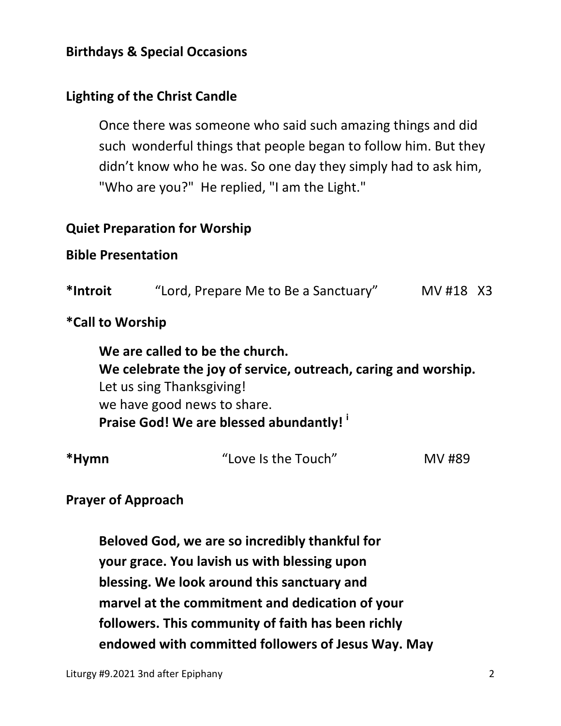# **Birthdays & Special Occasions**

# **Lighting of the Christ Candle**

Once there was someone who said such amazing things and did such wonderful things that people began to follow him. But they didn't know who he was. So one day they simply had to ask him, "Who are you?" He replied, "I am the Light."

# **Quiet Preparation for Worship**

### **Bible Presentation**

| *Introit | "Lord, Prepare Me to Be a Sanctuary" | MV #18 X3 |
|----------|--------------------------------------|-----------|
|----------|--------------------------------------|-----------|

### **\*Call to Worship**

 **We are called to be the church. We celebrate the joy of service, outreach, caring and worship.**  Let us sing Thanksgiving! we have good news to share.  **Praise God! We are blessed abundantly! <sup>i</sup>**

| *Hymn | "Love Is the Touch" | MV #89 |
|-------|---------------------|--------|
|       |                     |        |

### **Prayer of Approach**

 **Beloved God, we are so incredibly thankful for your grace. You lavish us with blessing upon blessing. We look around this sanctuary and marvel at the commitment and dedication of your followers. This community of faith has been richly endowed with committed followers of Jesus Way. May**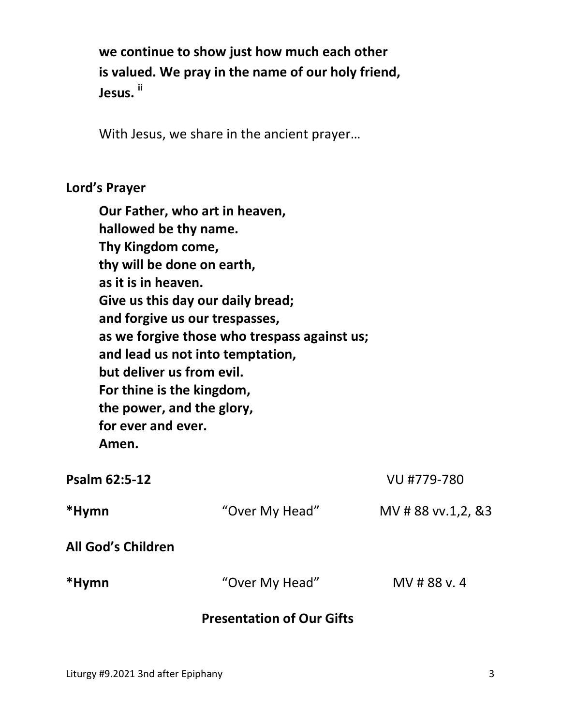**we continue to show just how much each other is valued. We pray in the name of our holy friend, Jesus. ii**

With Jesus, we share in the ancient prayer…

#### **Lord's Prayer**

**Our Father, who art in heaven, hallowed be thy name. Thy Kingdom come, thy will be done on earth, as it is in heaven. Give us this day our daily bread; and forgive us our trespasses, as we forgive those who trespass against us; and lead us not into temptation, but deliver us from evil. For thine is the kingdom, the power, and the glory, for ever and ever. Amen.** 

|                    | <b>Presentation of Our Gifts</b> |                      |
|--------------------|----------------------------------|----------------------|
| *Hymn              | "Over My Head"                   | MV # 88 v. 4         |
| All God's Children |                                  |                      |
| *Hymn              | "Over My Head"                   | MV # 88 vv.1,2, $83$ |
| Psalm 62:5-12      |                                  | VU #779-780          |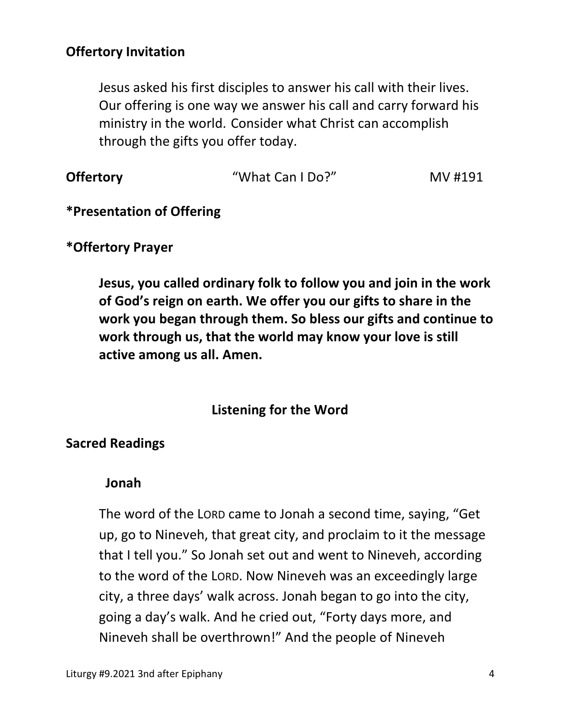# **Offertory Invitation**

Jesus asked his first disciples to answer his call with their lives. Our offering is one way we answer his call and carry forward his ministry in the world. Consider what Christ can accomplish through the gifts you offer today.

| <b>Offertory</b> | "What Can I Do?" | MV #191 |
|------------------|------------------|---------|
|                  |                  |         |

#### **\*Presentation of Offering**

#### **\*Offertory Prayer**

**Jesus, you called ordinary folk to follow you and join in the work of God's reign on earth. We offer you our gifts to share in the work you began through them. So bless our gifts and continue to work through us, that the world may know your love is still active among us all. Amen.** 

### **Listening for the Word**

#### **Sacred Readings**

#### **Jonah**

The word of the LORD came to Jonah a second time, saying, "Get up, go to Nineveh, that great city, and proclaim to it the message that I tell you." So Jonah set out and went to Nineveh, according to the word of the LORD. Now Nineveh was an exceedingly large city, a three days' walk across. Jonah began to go into the city, going a day's walk. And he cried out, "Forty days more, and Nineveh shall be overthrown!" And the people of Nineveh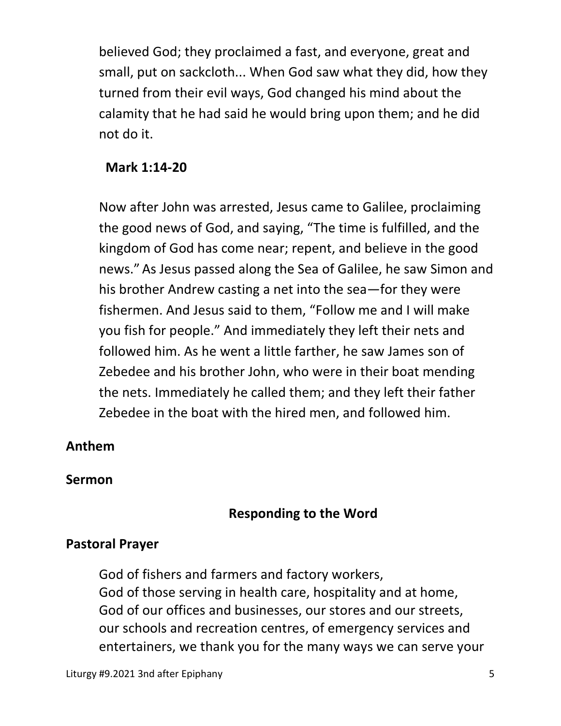believed God; they proclaimed a fast, and everyone, great and small, put on sackcloth... When God saw what they did, how they turned from their evil ways, God changed his mind about the calamity that he had said he would bring upon them; and he did not do it.

### **Mark 1:14-20**

Now after John was arrested, Jesus came to Galilee, proclaiming the good news of God, and saying, "The time is fulfilled, and the kingdom of God has come near; repent, and believe in the good news." As Jesus passed along the Sea of Galilee, he saw Simon and his brother Andrew casting a net into the sea—for they were fishermen. And Jesus said to them, "Follow me and I will make you fish for people." And immediately they left their nets and followed him. As he went a little farther, he saw James son of Zebedee and his brother John, who were in their boat mending the nets. Immediately he called them; and they left their father Zebedee in the boat with the hired men, and followed him.

### **Anthem**

#### **Sermon**

### **Responding to the Word**

### **Pastoral Prayer**

God of fishers and farmers and factory workers, God of those serving in health care, hospitality and at home, God of our offices and businesses, our stores and our streets, our schools and recreation centres, of emergency services and entertainers, we thank you for the many ways we can serve your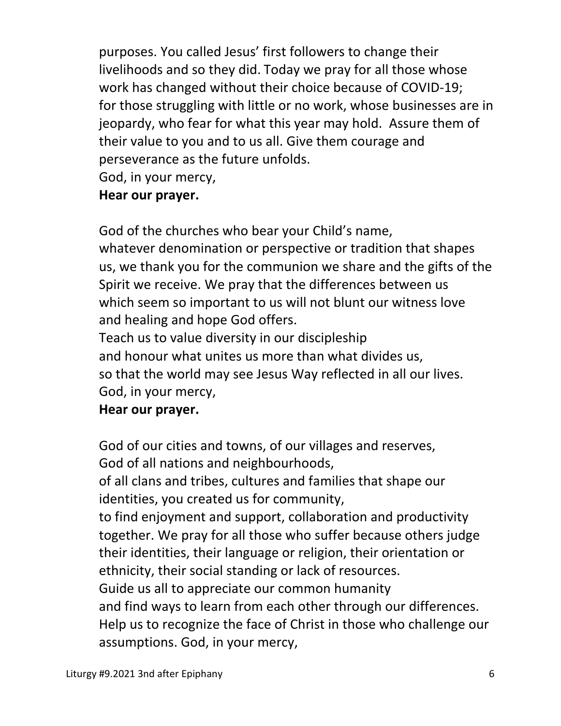purposes. You called Jesus' first followers to change their livelihoods and so they did. Today we pray for all those whose work has changed without their choice because of COVID-19; for those struggling with little or no work, whose businesses are in jeopardy, who fear for what this year may hold. Assure them of their value to you and to us all. Give them courage and perseverance as the future unfolds.

God, in your mercy,

# **Hear our prayer.**

 God of the churches who bear your Child's name, whatever denomination or perspective or tradition that shapes us, we thank you for the communion we share and the gifts of the Spirit we receive. We pray that the differences between us which seem so important to us will not blunt our witness love and healing and hope God offers.

 Teach us to value diversity in our discipleship and honour what unites us more than what divides us, so that the world may see Jesus Way reflected in all our lives. God, in your mercy,

### **Hear our prayer.**

 God of our cities and towns, of our villages and reserves, God of all nations and neighbourhoods,

 of all clans and tribes, cultures and families that shape our identities, you created us for community,

 to find enjoyment and support, collaboration and productivity together. We pray for all those who suffer because others judge their identities, their language or religion, their orientation or ethnicity, their social standing or lack of resources.

Guide us all to appreciate our common humanity

 and find ways to learn from each other through our differences. Help us to recognize the face of Christ in those who challenge our assumptions. God, in your mercy,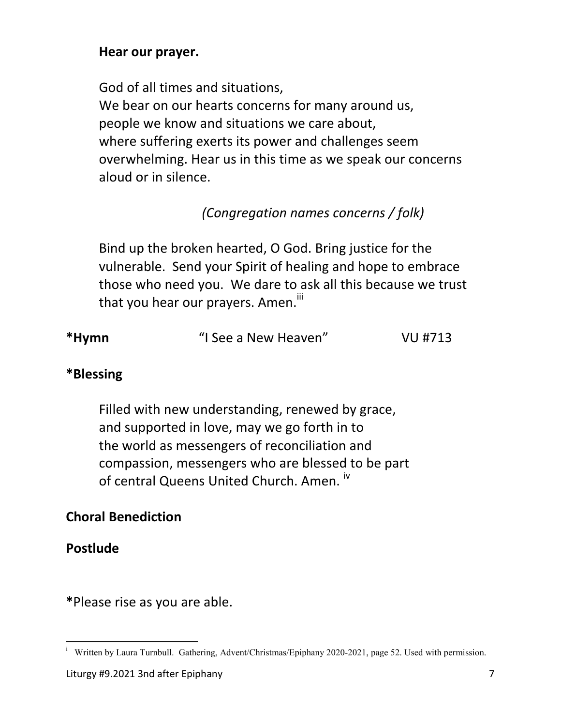### **Hear our prayer.**

 God of all times and situations, We bear on our hearts concerns for many around us, people we know and situations we care about, where suffering exerts its power and challenges seem overwhelming. Hear us in this time as we speak our concerns aloud or in silence.

# *(Congregation names concerns / folk)*

 Bind up the broken hearted, O God. Bring justice for the vulnerable. Send your Spirit of healing and hope to embrace those who need you. We dare to ask all this because we trust that you hear our prayers. Amen.<sup>iii</sup>

| *Hymn | "I See a New Heaven" | VU #713 |
|-------|----------------------|---------|
|       |                      |         |

### **\*Blessing**

Filled with new understanding, renewed by grace, and supported in love, may we go forth in to the world as messengers of reconciliation and compassion, messengers who are blessed to be part of central Queens United Church. Amen. iv

### **Choral Benediction**

**Postlude** 

**\***Please rise as you are able.

Written by Laura Turnbull. Gathering, Advent/Christmas/Epiphany 2020-2021, page 52. Used with permission.